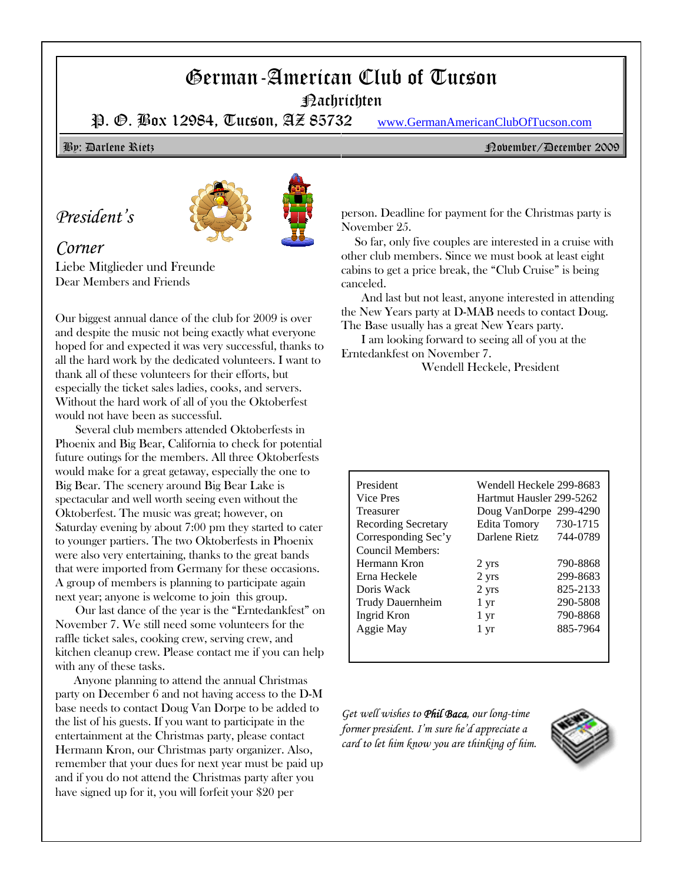# German-American Club of Tucson

Nachrichten

P. O. Box 12984, Tucson, AZ 85732 www.GermanAmericanClubOfTucson.com

## *President's*



### *Corner*

Liebe Mitglieder und Freunde Dear Members and Friends

Our biggest annual dance of the club for 2009 is over and despite the music not being exactly what everyone hoped for and expected it was very successful, thanks to all the hard work by the dedicated volunteers. I want to thank all of these volunteers for their efforts, but especially the ticket sales ladies, cooks, and servers. Without the hard work of all of you the Oktoberfest would not have been as successful.

Several club members attended Oktoberfests in Phoenix and Big Bear, California to check for potential future outings for the members. All three Oktoberfests would make for a great getaway, especially the one to Big Bear. The scenery around Big Bear Lake is spectacular and well worth seeing even without the Oktoberfest. The music was great; however, on Saturday evening by about 7:00 pm they started to cater to younger partiers. The two Oktoberfests in Phoenix were also very entertaining, thanks to the great bands that were imported from Germany for these occasions. A group of members is planning to participate again next year; anyone is welcome to join this group.

Our last dance of the year is the "Erntedankfest" on November 7. We still need some volunteers for the raffle ticket sales, cooking crew, serving crew, and kitchen cleanup crew. Please contact me if you can help with any of these tasks.

 Anyone planning to attend the annual Christmas party on December 6 and not having access to the D-M base needs to contact Doug Van Dorpe to be added to the list of his guests. If you want to participate in the entertainment at the Christmas party, please contact Hermann Kron, our Christmas party organizer. Also, remember that your dues for next year must be paid up and if you do not attend the Christmas party after you have signed up for it, you will forfeit your \$20 per

By: Darlene Rietz November/December 2009

person. Deadline for payment for the Christmas party is November 25.

So far, only five couples are interested in a cruise with other club members. Since we must book at least eight cabins to get a price break, the "Club Cruise" is being canceled.

And last but not least, anyone interested in attending the New Years party at D-MAB needs to contact Doug. The Base usually has a great New Years party.

I am looking forward to seeing all of you at the Erntedankfest on November 7.

Wendell Heckele, President

| President                  | Wendell Heckele 299-8683 |          |  |  |
|----------------------------|--------------------------|----------|--|--|
| Vice Pres                  | Hartmut Hausler 299-5262 |          |  |  |
| Treasurer                  | Doug VanDorpe            | 299-4290 |  |  |
| <b>Recording Secretary</b> | <b>Edita Tomory</b>      | 730-1715 |  |  |
| Corresponding Sec'y        | Darlene Rietz            | 744-0789 |  |  |
| Council Members:           |                          |          |  |  |
| Hermann Kron               | 2 yrs                    | 790-8868 |  |  |
| Erna Heckele               | 2 yrs                    | 299-8683 |  |  |
| Doris Wack                 | 2 yrs                    | 825-2133 |  |  |
| Trudy Dauernheim           | 1 yr                     | 290-5808 |  |  |
| Ingrid Kron                | 1 yr                     | 790-8868 |  |  |
| Aggie May                  | 1 yr                     | 885-7964 |  |  |
|                            |                          |          |  |  |

*Get well wishes to Phil Baca, our long-time former president. I'm sure he'd appreciate a card to let him know you are thinking of him.*

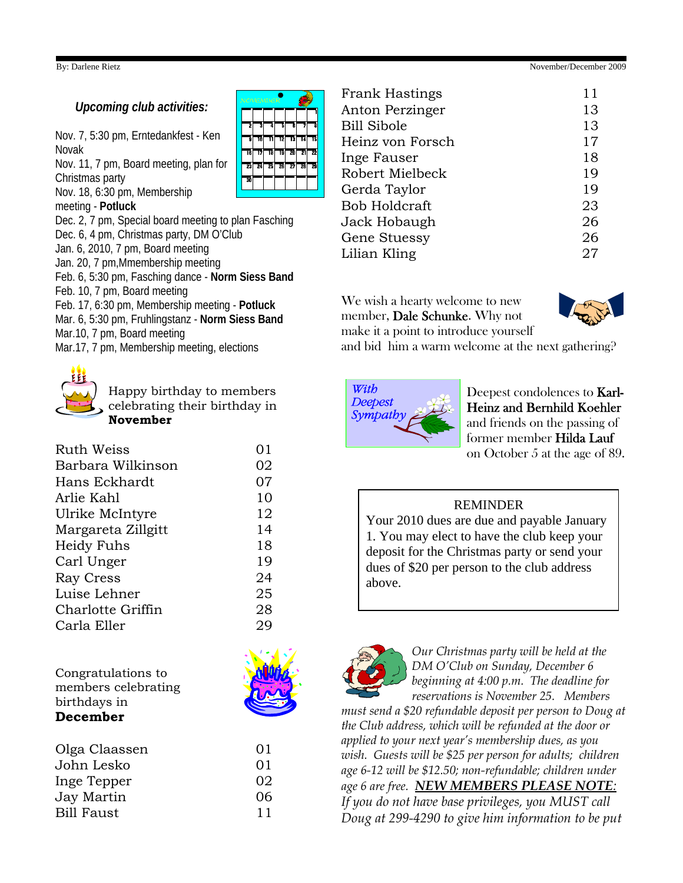### By: Darlene Rietz November/December 2009

### *Upcoming club activities:*

Nov. 7, 5:30 pm, Erntedankfest - Ken Novak

Nov. 11, 7 pm, Board meeting, plan for Christmas party

Nov. 18, 6:30 pm, Membership

meeting - **Potluck**

Dec. 2, 7 pm, Special board meeting to plan Fasching Dec. 6, 4 pm, Christmas party, DM O'Club Jan. 6, 2010, 7 pm, Board meeting Jan. 20, 7 pm,Mmembership meeting Feb. 6, 5:30 pm, Fasching dance - **Norm Siess Band** Feb. 10, 7 pm, Board meeting Feb. 17, 6:30 pm, Membership meeting - **Potluck** Mar. 6, 5:30 pm, Fruhlingstanz - **Norm Siess Band** Mar.10, 7 pm, Board meeting Mar.17, 7 pm, Membership meeting, elections



celebrating their birthday in **November**

Happy birthday to members

| Ruth Weiss         | 01 |
|--------------------|----|
| Barbara Wilkinson  | 02 |
| Hans Eckhardt      | 07 |
| Arlie Kahl         | 10 |
| Ulrike McIntyre    | 12 |
| Margareta Zillgitt | 14 |
| Heidy Fuhs         | 18 |
| Carl Unger         | 19 |
| Ray Cress          | 24 |
| Luise Lehner       | 25 |
| Charlotte Griffin  | 28 |
| Carla Eller        | 29 |
|                    |    |

| Congratulations to  |  |  |  |
|---------------------|--|--|--|
| members celebrating |  |  |  |
| birthdays in        |  |  |  |
| <b>December</b>     |  |  |  |

| Olga Claassen     | 01 |
|-------------------|----|
| John Lesko        | 01 |
| Inge Tepper       | 02 |
| Jay Martin        | 06 |
| <b>Bill Faust</b> | 11 |
|                   |    |

| <b>NOVEMBER</b> |    |    |    |    |    |    |
|-----------------|----|----|----|----|----|----|
| 2               | 3  | 7  | 7  | Ġ  | 7  | Ā  |
| ā               | īñ | 11 | 12 | 13 | īá | īs |
| TG              | 17 | 18 | T9 | 20 | 21 | 22 |
| 23              | 24 | 25 | 힒  | 27 | 20 | 79 |
| 30              |    |    |    |    |    |    |
|                 |    |    |    |    |    |    |

| <b>Frank Hastings</b> | 11 |
|-----------------------|----|
| Anton Perzinger       | 13 |
| <b>Bill Sibole</b>    | 13 |
| Heinz von Forsch      | 17 |
| Inge Fauser           | 18 |
| Robert Mielbeck       | 19 |
| Gerda Taylor          | 19 |
| Bob Holdcraft         | 23 |
| Jack Hobaugh          | 26 |
| Gene Stuessy          | 26 |
| Lilian Kling          | 27 |
|                       |    |

We wish a hearty welcome to new member, Dale Schunke. Why not



make it a point to introduce yourself and bid him a warm welcome at the next gathering?



Deepest condolences to Karl-Heinz and Bernhild Koehler and friends on the passing of former member Hilda Lauf on October 5 at the age of 89.

### REMINDER

Your 2010 dues are due and payable January 1. You may elect to have the club keep your deposit for the Christmas party or send your dues of \$20 per person to the club address above.



*Our Christmas party will be held at the DM O'Club on Sunday, December 6 beginning at 4:00 p.m. The deadline for reservations is November 25. Members*

*must send a \$20 refundable deposit per person to Doug at the Club address, which will be refunded at the door or applied to your next year's membership dues, as you wish. Guests will be \$25 per person for adults; children age 6-12 will be \$12.50; non-refundable; children under age 6 are free. NEW MEMBERS PLEASE NOTE: If you do not have base privileges, you MUST call*

*Doug at 299-4290 to give him information to be put*